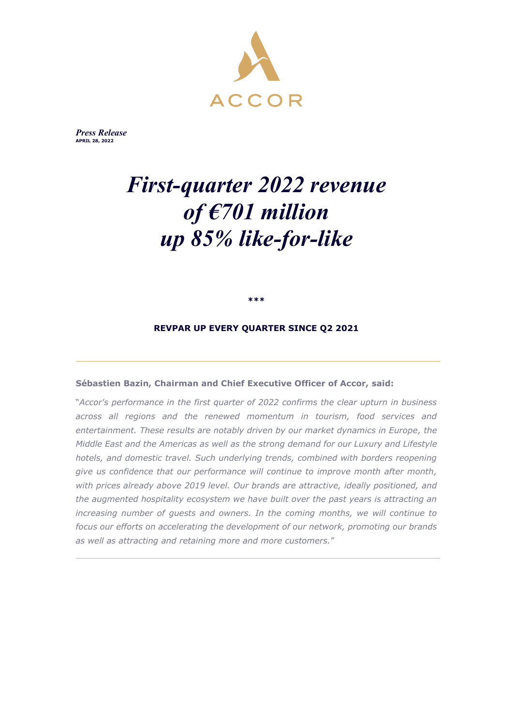

*Press Release* **MARCH APRIL 28, 2022 XX, 2022**

# *First-quarter 2022 revenue of €701 million up 85% like-for-like*

**\*\*\***

#### **REVPAR UP EVERY QUARTER SINCE Q2 2021**

#### **Sébastien Bazin, Chairman and Chief Executive Officer of Accor, said:**

"*Accor's performance in the first quarter of 2022 confirms the clear upturn in business across all regions and the renewed momentum in tourism, food services and entertainment. These results are notably driven by our market dynamics in Europe, the Middle East and the Americas as well as the strong demand for our Luxury and Lifestyle hotels, and domestic travel. Such underlying trends, combined with borders reopening give us confidence that our performance will continue to improve month after month, with prices already above 2019 level. Our brands are attractive, ideally positioned, and the augmented hospitality ecosystem we have built over the past years is attracting an increasing number of guests and owners. In the coming months, we will continue to focus our efforts on accelerating the development of our network, promoting our brands as well as attracting and retaining more and more customers.*"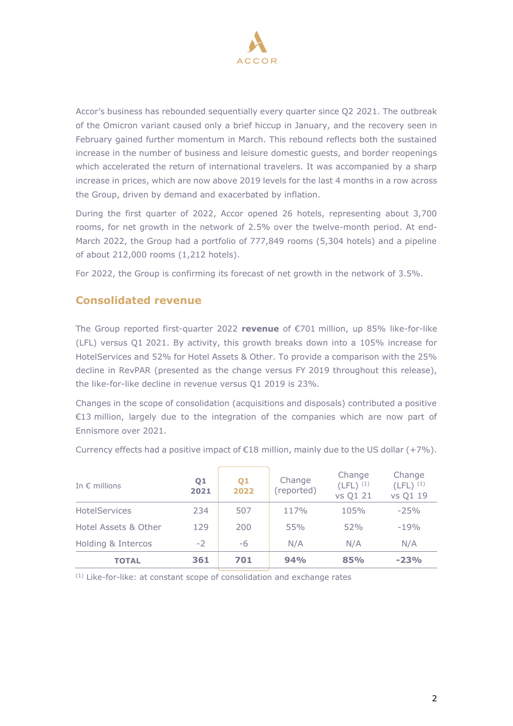

Accor's business has rebounded sequentially every quarter since Q2 2021. The outbreak of the Omicron variant caused only a brief hiccup in January, and the recovery seen in February gained further momentum in March. This rebound reflects both the sustained increase in the number of business and leisure domestic guests, and border reopenings which accelerated the return of international travelers. It was accompanied by a sharp increase in prices, which are now above 2019 levels for the last 4 months in a row across the Group, driven by demand and exacerbated by inflation.

During the first quarter of 2022, Accor opened 26 hotels, representing about 3,700 rooms, for net growth in the network of 2.5% over the twelve-month period. At end-March 2022, the Group had a portfolio of 777,849 rooms (5,304 hotels) and a pipeline of about 212,000 rooms (1,212 hotels).

For 2022, the Group is confirming its forecast of net growth in the network of 3.5%.

### **Consolidated revenue**

The Group reported first-quarter 2022 **revenue** of €701 million, up 85% like-for-like (LFL) versus Q1 2021. By activity, this growth breaks down into a 105% increase for HotelServices and 52% for Hotel Assets & Other. To provide a comparison with the 25% decline in RevPAR (presented as the change versus FY 2019 throughout this release), the like-for-like decline in revenue versus Q1 2019 is 23%.

Changes in the scope of consolidation (acquisitions and disposals) contributed a positive €13 million, largely due to the integration of the companies which are now part of Ennismore over 2021.

| In $\epsilon$ millions | Q1<br>2021 | Q1<br>2022 | Change<br>(reported) | Change<br>$(LFL)^{(1)}$<br>vs Q1 21 | Change<br>$(LFL)^{(1)}$<br>vs Q1 19 |
|------------------------|------------|------------|----------------------|-------------------------------------|-------------------------------------|
| <b>HotelServices</b>   | 234        | 507        | 117%                 | 105%                                | $-25%$                              |
| Hotel Assets & Other   | 129        | 200        | 55%                  | 52%                                 | $-19%$                              |
| Holding & Intercos     | $-2$       | -6         | N/A                  | N/A                                 | N/A                                 |
| <b>TOTAL</b>           | 361        | 701        | 94%                  | 85%                                 | $-23%$                              |

Currency effects had a positive impact of  $E18$  million, mainly due to the US dollar (+7%).

(1) Like-for-like: at constant scope of consolidation and exchange rates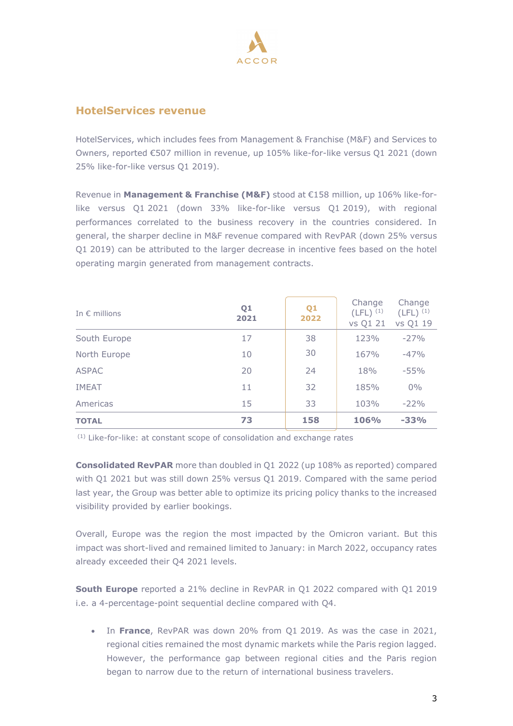

#### **HotelServices revenue**

HotelServices, which includes fees from Management & Franchise (M&F) and Services to Owners, reported €507 million in revenue, up 105% like-for-like versus Q1 2021 (down 25% like-for-like versus Q1 2019).

Revenue in **Management & Franchise (M&F)** stood at €158 million, up 106% like-forlike versus Q1 2021 (down 33% like-for-like versus Q1 2019), with regional performances correlated to the business recovery in the countries considered. In general, the sharper decline in M&F revenue compared with RevPAR (down 25% versus Q1 2019) can be attributed to the larger decrease in incentive fees based on the hotel operating margin generated from management contracts.

| In $\epsilon$ millions | Q1<br>2021 | Q1<br>2022 | Change<br>$(LFL)^{(1)}$<br>vs Q1 21 | Change<br>$(LFL)^{(1)}$<br>vs Q1 19 |
|------------------------|------------|------------|-------------------------------------|-------------------------------------|
| South Europe           | 17         | 38         | 123%                                | $-27%$                              |
| North Europe           | 10         | 30         | 167%                                | $-47%$                              |
| <b>ASPAC</b>           | 20         | 24         | 18%                                 | $-55%$                              |
| <b>IMEAT</b>           | 11         | 32         | 185%                                | $0\%$                               |
| Americas               | 15         | 33         | 103%                                | $-22%$                              |
| <b>TOTAL</b>           | 73         | 158        | 106%                                | $-33%$                              |

(1) Like-for-like: at constant scope of consolidation and exchange rates

**Consolidated RevPAR** more than doubled in Q1 2022 (up 108% as reported) compared with Q1 2021 but was still down 25% versus Q1 2019. Compared with the same period last year, the Group was better able to optimize its pricing policy thanks to the increased visibility provided by earlier bookings.

Overall, Europe was the region the most impacted by the Omicron variant. But this impact was short-lived and remained limited to January: in March 2022, occupancy rates already exceeded their Q4 2021 levels.

**South Europe** reported a 21% decline in RevPAR in Q1 2022 compared with Q1 2019 i.e. a 4-percentage-point sequential decline compared with Q4.

• In **France**, RevPAR was down 20% from Q1 2019. As was the case in 2021, regional cities remained the most dynamic markets while the Paris region lagged. However, the performance gap between regional cities and the Paris region began to narrow due to the return of international business travelers.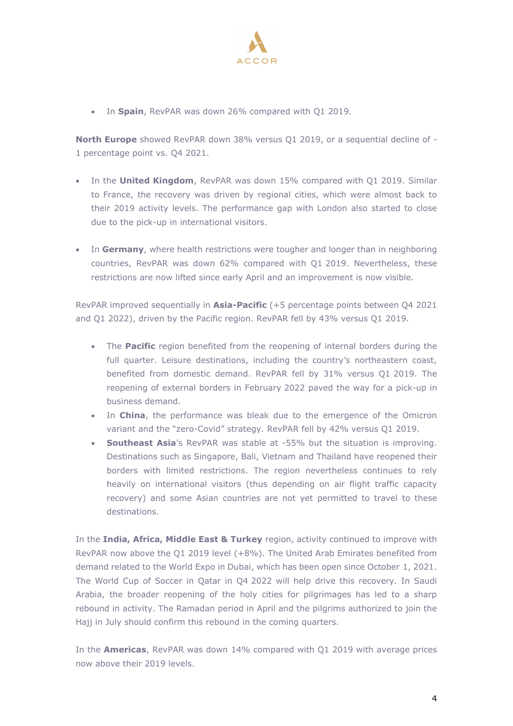

• In **Spain**, RevPAR was down 26% compared with Q1 2019.

**North Europe** showed RevPAR down 38% versus Q1 2019, or a sequential decline of - 1 percentage point vs. Q4 2021.

- In the **United Kingdom**, RevPAR was down 15% compared with Q1 2019. Similar to France, the recovery was driven by regional cities, which were almost back to their 2019 activity levels. The performance gap with London also started to close due to the pick-up in international visitors.
- In **Germany**, where health restrictions were tougher and longer than in neighboring countries, RevPAR was down 62% compared with Q1 2019. Nevertheless, these restrictions are now lifted since early April and an improvement is now visible.

RevPAR improved sequentially in **Asia-Pacific** (+5 percentage points between Q4 2021 and Q1 2022), driven by the Pacific region. RevPAR fell by 43% versus Q1 2019.

- The **Pacific** region benefited from the reopening of internal borders during the full quarter. Leisure destinations, including the country's northeastern coast, benefited from domestic demand. RevPAR fell by 31% versus Q1 2019. The reopening of external borders in February 2022 paved the way for a pick-up in business demand.
- In **China**, the performance was bleak due to the emergence of the Omicron variant and the "zero-Covid" strategy. RevPAR fell by 42% versus Q1 2019.
- **Southeast Asia**'s RevPAR was stable at -55% but the situation is improving. Destinations such as Singapore, Bali, Vietnam and Thailand have reopened their borders with limited restrictions. The region nevertheless continues to rely heavily on international visitors (thus depending on air flight traffic capacity recovery) and some Asian countries are not yet permitted to travel to these destinations.

In the **India, Africa, Middle East & Turkey** region, activity continued to improve with RevPAR now above the Q1 2019 level (+8%). The United Arab Emirates benefited from demand related to the World Expo in Dubai, which has been open since October 1, 2021. The World Cup of Soccer in Qatar in Q4 2022 will help drive this recovery. In Saudi Arabia, the broader reopening of the holy cities for pilgrimages has led to a sharp rebound in activity. The Ramadan period in April and the pilgrims authorized to join the Hajj in July should confirm this rebound in the coming quarters.

In the **Americas**, RevPAR was down 14% compared with Q1 2019 with average prices now above their 2019 levels.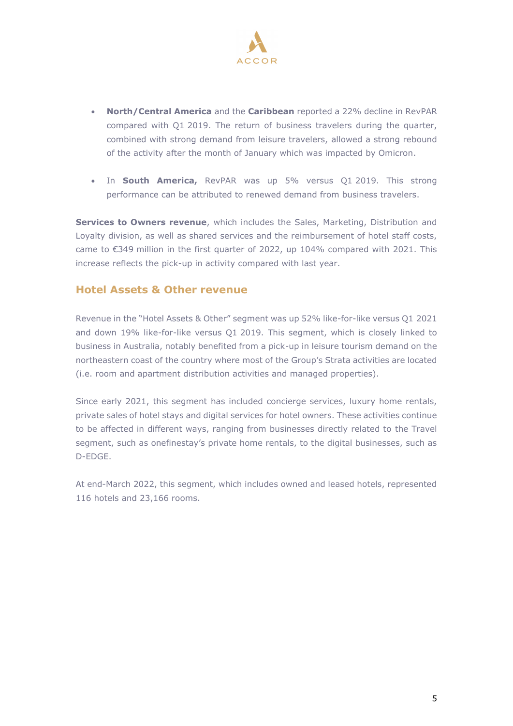

- **North/Central America** and the **Caribbean** reported a 22% decline in RevPAR compared with Q1 2019. The return of business travelers during the quarter, combined with strong demand from leisure travelers, allowed a strong rebound of the activity after the month of January which was impacted by Omicron.
- In **South America,** RevPAR was up 5% versus Q1 2019. This strong performance can be attributed to renewed demand from business travelers.

**Services to Owners revenue**, which includes the Sales, Marketing, Distribution and Loyalty division, as well as shared services and the reimbursement of hotel staff costs, came to €349 million in the first quarter of 2022, up 104% compared with 2021. This increase reflects the pick-up in activity compared with last year.

#### **Hotel Assets & Other revenue**

Revenue in the "Hotel Assets & Other" segment was up 52% like-for-like versus Q1 2021 and down 19% like-for-like versus Q1 2019. This segment, which is closely linked to business in Australia, notably benefited from a pick-up in leisure tourism demand on the northeastern coast of the country where most of the Group's Strata activities are located (i.e. room and apartment distribution activities and managed properties).

Since early 2021, this segment has included concierge services, luxury home rentals, private sales of hotel stays and digital services for hotel owners. These activities continue to be affected in different ways, ranging from businesses directly related to the Travel segment, such as onefinestay's private home rentals, to the digital businesses, such as D-EDGE.

At end-March 2022, this segment, which includes owned and leased hotels, represented 116 hotels and 23,166 rooms.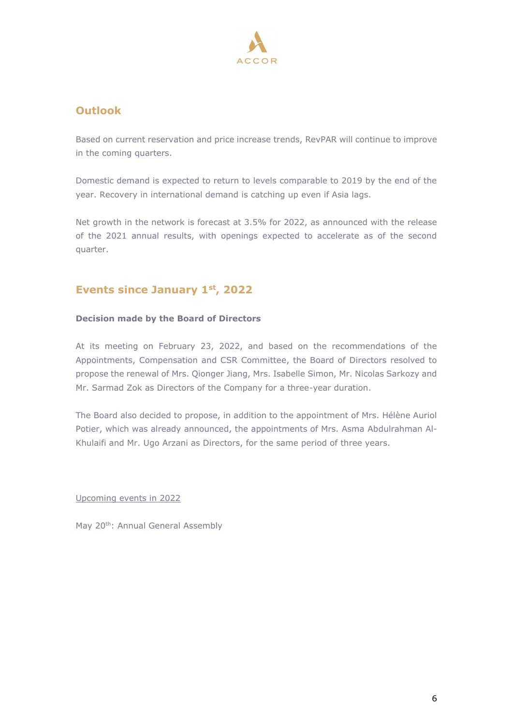

## **Outlook**

Based on current reservation and price increase trends, RevPAR will continue to improve in the coming quarters.

Domestic demand is expected to return to levels comparable to 2019 by the end of the year. Recovery in international demand is catching up even if Asia lags.

Net growth in the network is forecast at 3.5% for 2022, as announced with the release of the 2021 annual results, with openings expected to accelerate as of the second quarter.

# **Events since January 1st, 2022**

#### **Decision made by the Board of Directors**

At its meeting on February 23, 2022, and based on the recommendations of the Appointments, Compensation and CSR Committee, the Board of Directors resolved to propose the renewal of Mrs. Qionger Jiang, Mrs. Isabelle Simon, Mr. Nicolas Sarkozy and Mr. Sarmad Zok as Directors of the Company for a three-year duration.

The Board also decided to propose, in addition to the appointment of Mrs. Hélène Auriol Potier, which was already announced, the appointments of Mrs. Asma Abdulrahman Al-Khulaifi and Mr. Ugo Arzani as Directors, for the same period of three years.

Upcoming events in 2022

May 20<sup>th</sup>: Annual General Assembly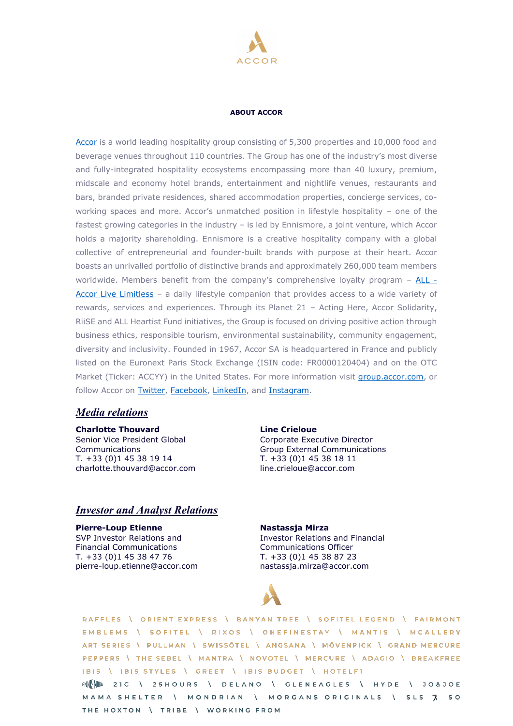

#### **ABOUT ACCOR**

[Accor](https://group.accor.com/fr-FR) is a world leading hospitality group consisting of 5,300 properties and 10,000 food and beverage venues throughout 110 countries. The Group has one of the industry's most diverse and fully-integrated hospitality ecosystems encompassing more than 40 luxury, premium, midscale and economy hotel brands, entertainment and nightlife venues, restaurants and bars, branded private residences, shared accommodation properties, concierge services, coworking spaces and more. Accor's unmatched position in lifestyle hospitality – one of the fastest growing categories in the industry – is led by Ennismore, a joint venture, which Accor holds a majority shareholding. Ennismore is a creative hospitality company with a global collective of entrepreneurial and founder-built brands with purpose at their heart. Accor boasts an unrivalled portfolio of distinctive brands and approximately 260,000 team members worldwide. Members benefit from the company's comprehensive loyalty program – [ALL -](https://all.accor.com/united-kingdom/index.en.shtml) [Accor Live Limitless](https://all.accor.com/united-kingdom/index.en.shtml) - a daily lifestyle companion that provides access to a wide variety of rewards, services and experiences. Through its Planet 21 – Acting Here, Accor Solidarity, RiiSE and ALL Heartist Fund initiatives, the Group is focused on driving positive action through business ethics, responsible tourism, environmental sustainability, community engagement, diversity and inclusivity. Founded in 1967, Accor SA is headquartered in France and publicly listed on the Euronext Paris Stock Exchange (ISIN code: FR0000120404) and on the OTC Market (Ticker: ACCYY) in the United States. For more information visit [group.accor.com,](https://all.accor.com/usa/index.en.shtml) or follow Accor on [Twitter,](https://twitter.com/Accor) [Facebook,](https://www.facebook.com/accorFR/) [LinkedIn,](https://www.linkedin.com/company/accor/) and [Instagram.](https://www.instagram.com/accor)

#### *Media relations*

**Charlotte Thouvard** Senior Vice President Global Communications T. +33 (0)1 45 38 19 14 charlotte.thouvard@accor.com

**Line Crieloue** Corporate Executive Director Group External Communications T. +33 (0)1 45 38 18 11 line.crieloue@accor.com

#### *Investor and Analyst Relations*

**Pierre-Loup Etienne** SVP Investor Relations and Financial Communications T. +33 (0)1 45 38 47 76 pierre-loup.etienne@accor.com

#### **Nastassja Mirza**

Investor Relations and Financial Communications Officer T. +33 (0)1 45 38 87 23 nastassja.mirza@accor.com



RAFFLES \ ORIENT EXPRESS \ BANYAN TREE \ SOFITEL LEGEND \ FAIRMONT EMBLEMS \ SOFITEL \ RIXOS \ ONEFINESTAY \ MANTIS \ MGALLERY ART SERIES \ PULLMAN \ SWISSÔTEL \ ANGSANA \ MÖVENPICK \ GRAND MERCURE PEPPERS \ THE SEBEL \ MANTRA \ NOVOTEL \ MERCURE \ ADAGIO \ BREAKFREE IBIS \ IBIS STYLES \ GREET \ IBIS BUDGET \ HOTELFI ENNEMBLE 21C \ 25 HOURS \ DELANO \ GLENEAGLES \ HYDE \ JO&JOE MAMA SHELTER \ MONDRIAN \ MORGANS ORIGINALS \ SLS > 50

THE HOXTON \ TRIBE \ WORKING FROM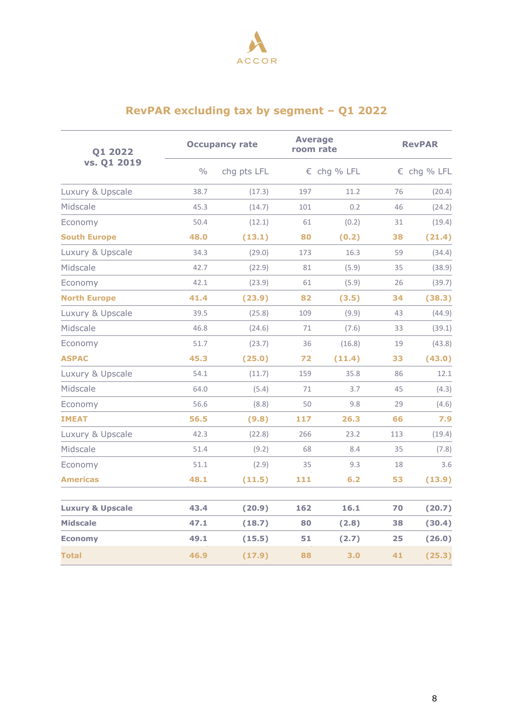

# **RevPAR excluding tax by segment – Q1 2022**

| 01 2022                     |               | <b>Occupancy rate</b> |     | <b>Average</b><br>room rate |     | <b>RevPAR</b> |  |  |
|-----------------------------|---------------|-----------------------|-----|-----------------------------|-----|---------------|--|--|
| vs. Q1 2019                 | $\frac{0}{0}$ | chg pts LFL           |     | € chg % LFL                 |     | € chg % LFL   |  |  |
| Luxury & Upscale            | 38.7          | (17.3)                | 197 | 11.2                        | 76  | (20.4)        |  |  |
| Midscale                    | 45.3          | (14.7)                | 101 | 0.2                         | 46  | (24.2)        |  |  |
| Economy                     | 50.4          | (12.1)                | 61  | (0.2)                       | 31  | (19.4)        |  |  |
| <b>South Europe</b>         | 48.0          | (13.1)                | 80  | (0.2)                       | 38  | (21.4)        |  |  |
| Luxury & Upscale            | 34.3          | (29.0)                | 173 | 16.3                        | 59  | (34.4)        |  |  |
| Midscale                    | 42.7          | (22.9)                | 81  | (5.9)                       | 35  | (38.9)        |  |  |
| Economy                     | 42.1          | (23.9)                | 61  | (5.9)                       | 26  | (39.7)        |  |  |
| <b>North Europe</b>         | 41.4          | (23.9)                | 82  | (3.5)                       | 34  | (38.3)        |  |  |
| Luxury & Upscale            | 39.5          | (25.8)                | 109 | (9.9)                       | 43  | (44.9)        |  |  |
| Midscale                    | 46.8          | (24.6)                | 71  | (7.6)                       | 33  | (39.1)        |  |  |
| Economy                     | 51.7          | (23.7)                | 36  | (16.8)                      | 19  | (43.8)        |  |  |
| <b>ASPAC</b>                | 45.3          | (25.0)                | 72  | (11.4)                      | 33  | (43.0)        |  |  |
| Luxury & Upscale            | 54.1          | (11.7)                | 159 | 35.8                        | 86  | 12.1          |  |  |
| Midscale                    | 64.0          | (5.4)                 | 71  | 3.7                         | 45  | (4.3)         |  |  |
| Economy                     | 56.6          | (8.8)                 | 50  | 9.8                         | 29  | (4.6)         |  |  |
| <b>IMEAT</b>                | 56.5          | (9.8)                 | 117 | 26.3                        | 66  | 7.9           |  |  |
| Luxury & Upscale            | 42.3          | (22.8)                | 266 | 23.2                        | 113 | (19.4)        |  |  |
| Midscale                    | 51.4          | (9.2)                 | 68  | 8.4                         | 35  | (7.8)         |  |  |
| Economy                     | 51.1          | (2.9)                 | 35  | 9.3                         | 18  | 3.6           |  |  |
| <b>Americas</b>             | 48.1          | (11.5)                | 111 | 6.2                         | 53  | (13.9)        |  |  |
| <b>Luxury &amp; Upscale</b> | 43.4          | (20.9)                | 162 | 16.1                        | 70  | (20.7)        |  |  |
| <b>Midscale</b>             | 47.1          | (18.7)                | 80  | (2.8)                       | 38  | (30.4)        |  |  |
| <b>Economy</b>              | 49.1          | (15.5)                | 51  | (2.7)                       | 25  | (26.0)        |  |  |
| <b>Total</b>                | 46.9          | (17.9)                | 88  | 3.0                         | 41  | (25.3)        |  |  |